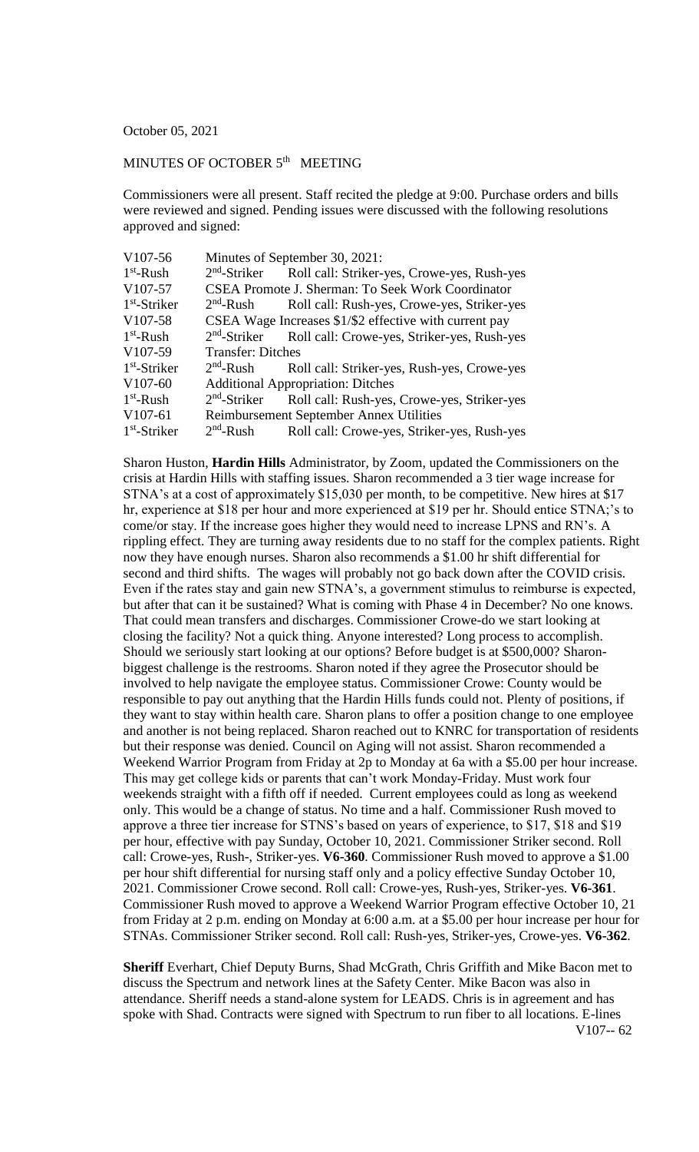October 05, 2021

## MINUTES OF OCTOBER 5<sup>th</sup> MEETING

Commissioners were all present. Staff recited the pledge at 9:00. Purchase orders and bills were reviewed and signed. Pending issues were discussed with the following resolutions approved and signed:

| V107-56              | Minutes of September 30, 2021:                         |                                                                      |
|----------------------|--------------------------------------------------------|----------------------------------------------------------------------|
| $1st$ -Rush          |                                                        | 2 <sup>nd</sup> -Striker Roll call: Striker-yes, Crowe-yes, Rush-yes |
| V107-57              | CSEA Promote J. Sherman: To Seek Work Coordinator      |                                                                      |
| $1st$ -Striker       | $2nd$ -Rush                                            | Roll call: Rush-yes, Crowe-yes, Striker-yes                          |
| V <sub>107</sub> -58 | CSEA Wage Increases \$1/\$2 effective with current pay |                                                                      |
| $1st$ -Rush          | $2nd$ -Striker                                         | Roll call: Crowe-yes, Striker-yes, Rush-yes                          |
| V107-59              | <b>Transfer: Ditches</b>                               |                                                                      |
| $1st$ -Striker       | $2nd$ -Rush                                            | Roll call: Striker-yes, Rush-yes, Crowe-yes                          |
| $V107-60$            | <b>Additional Appropriation: Ditches</b>               |                                                                      |
| $1st$ -Rush          | $2nd$ -Striker                                         | Roll call: Rush-yes, Crowe-yes, Striker-yes                          |
| V107-61              | Reimbursement September Annex Utilities                |                                                                      |
| $1st$ -Striker       | $2nd$ -Rush                                            | Roll call: Crowe-yes, Striker-yes, Rush-yes                          |

Sharon Huston, **Hardin Hills** Administrator, by Zoom, updated the Commissioners on the crisis at Hardin Hills with staffing issues. Sharon recommended a 3 tier wage increase for STNA's at a cost of approximately \$15,030 per month, to be competitive. New hires at \$17 hr, experience at \$18 per hour and more experienced at \$19 per hr. Should entice STNA;'s to come/or stay. If the increase goes higher they would need to increase LPNS and RN's. A rippling effect. They are turning away residents due to no staff for the complex patients. Right now they have enough nurses. Sharon also recommends a \$1.00 hr shift differential for second and third shifts. The wages will probably not go back down after the COVID crisis. Even if the rates stay and gain new STNA's, a government stimulus to reimburse is expected, but after that can it be sustained? What is coming with Phase 4 in December? No one knows. That could mean transfers and discharges. Commissioner Crowe-do we start looking at closing the facility? Not a quick thing. Anyone interested? Long process to accomplish. Should we seriously start looking at our options? Before budget is at \$500,000? Sharonbiggest challenge is the restrooms. Sharon noted if they agree the Prosecutor should be involved to help navigate the employee status. Commissioner Crowe: County would be responsible to pay out anything that the Hardin Hills funds could not. Plenty of positions, if they want to stay within health care. Sharon plans to offer a position change to one employee and another is not being replaced. Sharon reached out to KNRC for transportation of residents but their response was denied. Council on Aging will not assist. Sharon recommended a Weekend Warrior Program from Friday at 2p to Monday at 6a with a \$5.00 per hour increase. This may get college kids or parents that can't work Monday-Friday. Must work four weekends straight with a fifth off if needed. Current employees could as long as weekend only. This would be a change of status. No time and a half. Commissioner Rush moved to approve a three tier increase for STNS's based on years of experience, to \$17, \$18 and \$19 per hour, effective with pay Sunday, October 10, 2021. Commissioner Striker second. Roll call: Crowe-yes, Rush-, Striker-yes. **V6-360**. Commissioner Rush moved to approve a \$1.00 per hour shift differential for nursing staff only and a policy effective Sunday October 10, 2021. Commissioner Crowe second. Roll call: Crowe-yes, Rush-yes, Striker-yes. **V6-361**. Commissioner Rush moved to approve a Weekend Warrior Program effective October 10, 21 from Friday at 2 p.m. ending on Monday at 6:00 a.m. at a \$5.00 per hour increase per hour for STNAs. Commissioner Striker second. Roll call: Rush-yes, Striker-yes, Crowe-yes. **V6-362**.

**Sheriff** Everhart, Chief Deputy Burns, Shad McGrath, Chris Griffith and Mike Bacon met to discuss the Spectrum and network lines at the Safety Center. Mike Bacon was also in attendance. Sheriff needs a stand-alone system for LEADS. Chris is in agreement and has spoke with Shad. Contracts were signed with Spectrum to run fiber to all locations. E-lines V107-- 62